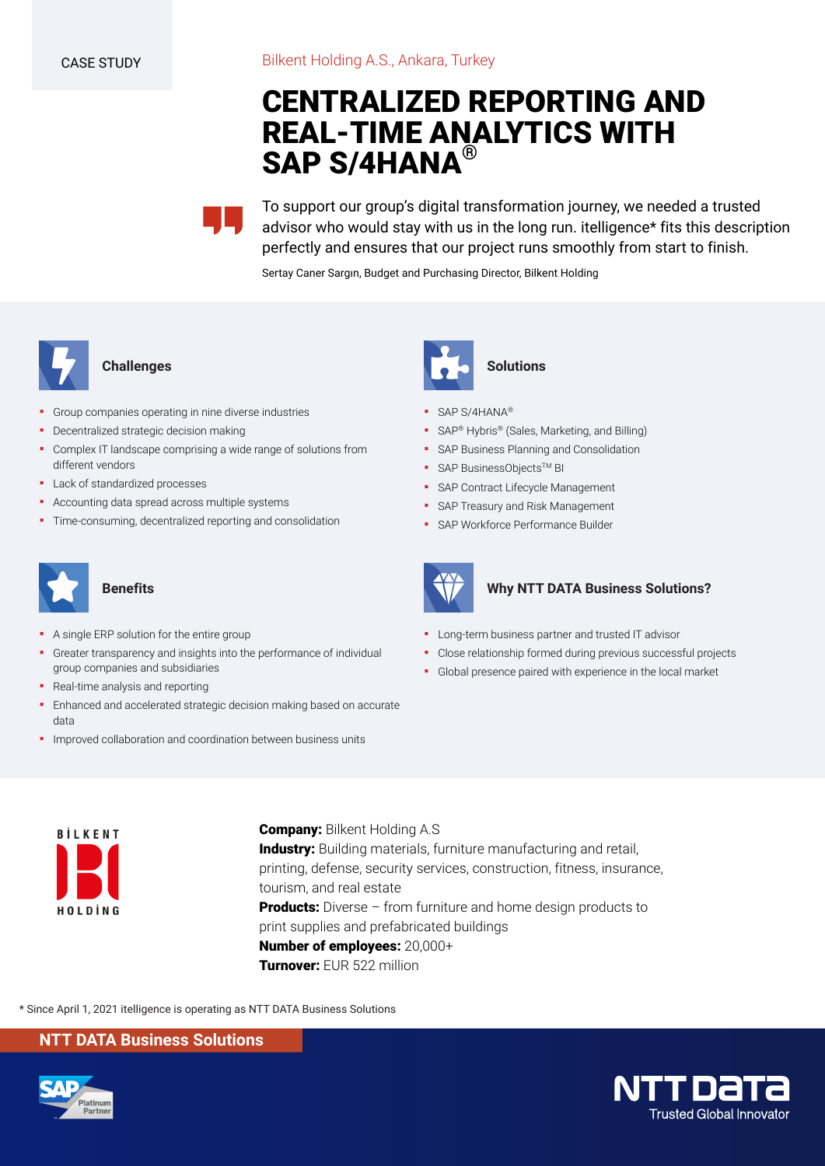# **CENTRALIZED REPORTING AND REAL-TIME ANALYTICS WITH SAP S/4HANA®**

To support our group's digital transformation journey, we needed a trusted advisor who would stay with us in the long run. itelligence\* fits this description perfectly and ensures that our project runs smoothly from start to finish.

Sertay Caner Sargın, Budget and Purchasing Director, Bilkent Holding



#### **Challenges**

- Group companies operating in nine diverse industries
- **•** Decentralized strategic decision making
- Complex IT landscape comprising a wide range of solutions from different vendors
- Lack of standardized processes
- Accounting data spread across multiple systems
- Time-consuming, decentralized reporting and consolidation



## **Benefits**

- A single ERP solution for the entire group
- Greater transparency and insights into the performance of individual group companies and subsidiaries
- Real-time analysis and reporting
- **Enhanced and accelerated strategic decision making based on accurate** data
- **·** Improved collaboration and coordination between business units



#### **Solutions**

- SAP S/4HANA®
- SAP<sup>®</sup> Hybris<sup>®</sup> (Sales, Marketing, and Billing)
- **SAP Business Planning and Consolidation**
- SAP BusinessObjects™ BI
- **SAP Contract Lifecycle Management**
- **SAP Treasury and Risk Management**
- **SAP Workforce Performance Builder**



#### **Why NTT DATA Business Solutions?**

- **•** Long-term business partner and trusted IT advisor
- Close relationship formed during previous successful projects
- Global presence paired with experience in the local market



**Company:** Bilkent Holding A.S **Industry:** Building materials, furniture manufacturing and retail, printing, defense, security services, construction, fitness, insurance, tourism, and real estate **Products:** Diverse – from furniture and home design products to print supplies and prefabricated buildings **Number of employees:** 20,000+ **Turnover:** EUR 522 million

\* Since April 1, 2021 itelligence is operating as NTT DATA Business Solutions

#### **NTT DATA Business Solutions**